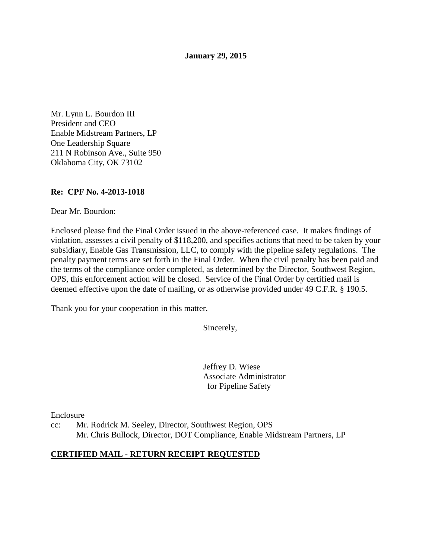**January 29, 2015** 

Mr. Lynn L. Bourdon III President and CEO Enable Midstream Partners, LP One Leadership Square 211 N Robinson Ave., Suite 950 Oklahoma City, OK 73102

## **Re: CPF No. 4-2013-1018**

Dear Mr. Bourdon:

Enclosed please find the Final Order issued in the above-referenced case. It makes findings of violation, assesses a civil penalty of \$118,200, and specifies actions that need to be taken by your subsidiary, Enable Gas Transmission, LLC, to comply with the pipeline safety regulations. The penalty payment terms are set forth in the Final Order. When the civil penalty has been paid and the terms of the compliance order completed, as determined by the Director, Southwest Region, OPS, this enforcement action will be closed. Service of the Final Order by certified mail is deemed effective upon the date of mailing, or as otherwise provided under 49 C.F.R. § 190.5.

Thank you for your cooperation in this matter.

Sincerely,

Jeffrey D. Wiese Associate Administrator for Pipeline Safety

Enclosure

cc: Mr. Rodrick M. Seeley, Director, Southwest Region, OPS Mr. Chris Bullock, Director, DOT Compliance, Enable Midstream Partners, LP

### **CERTIFIED MAIL - RETURN RECEIPT REQUESTED**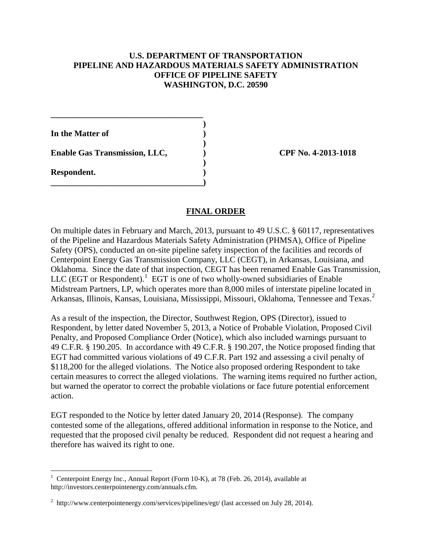### **U.S. DEPARTMENT OF TRANSPORTATION PIPELINE AND HAZARDOUS MATERIALS SAFETY ADMINISTRATION OFFICE OF PIPELINE SAFETY WASHINGTON, D.C. 20590**

**In the Matter of )** 

 **)**  Enable Gas Transmission, LLC,  $\qquad \qquad$  OPF No. 4-2013-1018

**\_\_\_\_\_\_\_\_\_\_\_\_\_\_\_\_\_\_\_\_\_\_\_\_\_\_\_\_\_\_\_\_\_\_\_\_ )** 

 **)** 

**\_\_\_\_\_\_\_\_\_\_\_\_\_\_\_\_\_\_\_\_\_\_\_\_\_\_\_\_\_\_\_\_\_\_\_\_)** 

**Respondent. )** 

 $\overline{a}$ 

## **FINAL ORDER**

On multiple dates in February and March, 2013, pursuant to 49 U.S.C. § 60117, representatives of the Pipeline and Hazardous Materials Safety Administration (PHMSA), Office of Pipeline Safety (OPS), conducted an on-site pipeline safety inspection of the facilities and records of Centerpoint Energy Gas Transmission Company, LLC (CEGT), in Arkansas, Louisiana, and Oklahoma. Since the date of that inspection, CEGT has been renamed Enable Gas Transmission, LLC (EGT or Respondent). $1$  EGT is one of two wholly-owned subsidiaries of Enable Midstream Partners, LP, which operates more than 8,000 miles of interstate pipeline located in Arkansas, Illinois, Kansas, Louisiana, Mississippi, Missouri, Oklahoma, Tennessee and Texas.<sup>2</sup>

As a result of the inspection, the Director, Southwest Region, OPS (Director), issued to Respondent, by letter dated November 5, 2013, a Notice of Probable Violation, Proposed Civil Penalty, and Proposed Compliance Order (Notice), which also included warnings pursuant to 49 C.F.R. § 190.205. In accordance with 49 C.F.R. § 190.207, the Notice proposed finding that EGT had committed various violations of 49 C.F.R. Part 192 and assessing a civil penalty of \$118,200 for the alleged violations. The Notice also proposed ordering Respondent to take certain measures to correct the alleged violations. The warning items required no further action, but warned the operator to correct the probable violations or face future potential enforcement action.

EGT responded to the Notice by letter dated January 20, 2014 (Response). The company contested some of the allegations, offered additional information in response to the Notice, and requested that the proposed civil penalty be reduced. Respondent did not request a hearing and therefore has waived its right to one.

<sup>&</sup>lt;sup>1</sup> Centerpoint Energy Inc., Annual Report (Form 10-K), at 78 (Feb. 26, 2014), available at http://investors.centerpointenergy.com/annuals.cfm.

<sup>&</sup>lt;sup>2</sup> http://www.centerpointenergy.com/services/pipelines/egt/ (last accessed on July 28, 2014).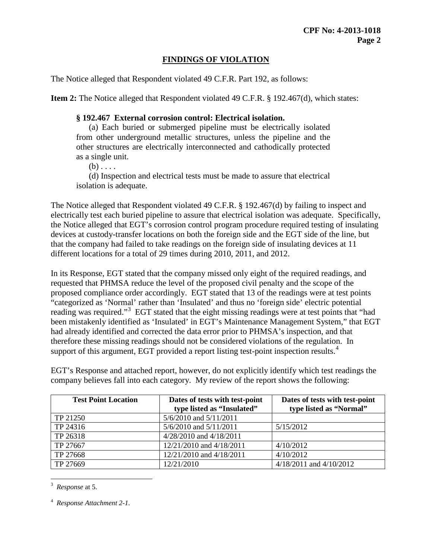# **FINDINGS OF VIOLATION**

The Notice alleged that Respondent violated 49 C.F.R. Part 192, as follows:

**Item 2:** The Notice alleged that Respondent violated 49 C.F.R. § 192.467(d), which states:

## **§ 192.467 External corrosion control: Electrical isolation.**

(a) Each buried or submerged pipeline must be electrically isolated from other underground metallic structures, unless the pipeline and the other structures are electrically interconnected and cathodically protected as a single unit.

 $(b) \ldots$ 

(d) Inspection and electrical tests must be made to assure that electrical isolation is adequate.

The Notice alleged that Respondent violated 49 C.F.R. § 192.467(d) by failing to inspect and electrically test each buried pipeline to assure that electrical isolation was adequate. Specifically, the Notice alleged that EGT's corrosion control program procedure required testing of insulating devices at custody-transfer locations on both the foreign side and the EGT side of the line, but that the company had failed to take readings on the foreign side of insulating devices at 11 different locations for a total of 29 times during 2010, 2011, and 2012.

In its Response, EGT stated that the company missed only eight of the required readings, and requested that PHMSA reduce the level of the proposed civil penalty and the scope of the proposed compliance order accordingly. EGT stated that 13 of the readings were at test points "categorized as 'Normal' rather than 'Insulated' and thus no 'foreign side' electric potential reading was required."<sup>3</sup> EGT stated that the eight missing readings were at test points that "had been mistakenly identified as 'Insulated' in EGT's Maintenance Management System," that EGT had already identified and corrected the data error prior to PHMSA's inspection, and that therefore these missing readings should not be considered violations of the regulation. In support of this argument, EGT provided a report listing test-point inspection results.<sup>4</sup>

EGT's Response and attached report, however, do not explicitly identify which test readings the company believes fall into each category. My review of the report shows the following:

| <b>Test Point Location</b> | Dates of tests with test-point<br>type listed as "Insulated" | Dates of tests with test-point<br>type listed as "Normal" |
|----------------------------|--------------------------------------------------------------|-----------------------------------------------------------|
| TP 21250                   | 5/6/2010 and 5/11/2011                                       |                                                           |
| TP 24316                   | 5/6/2010 and 5/11/2011                                       | 5/15/2012                                                 |
| TP 26318                   | $4/28/2010$ and $4/18/2011$                                  |                                                           |
| TP 27667                   | 12/21/2010 and 4/18/2011                                     | 4/10/2012                                                 |
| TP 27668                   | 12/21/2010 and 4/18/2011                                     | 4/10/2012                                                 |
| TP 27669                   | 12/21/2010                                                   | $4/18/2011$ and $4/10/2012$                               |

 3 *Response* at 5.

<sup>4</sup> *Response Attachment 2-1.*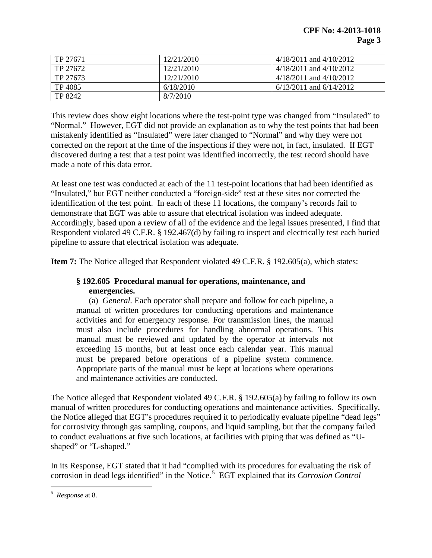| TP 27671 | 12/21/2010 | $4/18/2011$ and $4/10/2012$ |
|----------|------------|-----------------------------|
| TP 27672 | 12/21/2010 | $4/18/2011$ and $4/10/2012$ |
| TP 27673 | 12/21/2010 | $4/18/2011$ and $4/10/2012$ |
| TP 4085  | 6/18/2010  | $6/13/2011$ and $6/14/2012$ |
| TP 8242  | 8/7/2010   |                             |

This review does show eight locations where the test-point type was changed from "Insulated" to "Normal." However, EGT did not provide an explanation as to why the test points that had been mistakenly identified as "Insulated" were later changed to "Normal" and why they were not corrected on the report at the time of the inspections if they were not, in fact, insulated. If EGT discovered during a test that a test point was identified incorrectly, the test record should have made a note of this data error.

At least one test was conducted at each of the 11 test-point locations that had been identified as "Insulated," but EGT neither conducted a "foreign-side" test at these sites nor corrected the identification of the test point. In each of these 11 locations, the company's records fail to demonstrate that EGT was able to assure that electrical isolation was indeed adequate. Accordingly, based upon a review of all of the evidence and the legal issues presented, I find that Respondent violated 49 C.F.R. § 192.467(d) by failing to inspect and electrically test each buried pipeline to assure that electrical isolation was adequate.

**Item 7:** The Notice alleged that Respondent violated 49 C.F.R. § 192.605(a), which states:

## **§ 192.605 Procedural manual for operations, maintenance, and emergencies.**

(a) *General.* Each operator shall prepare and follow for each pipeline, a manual of written procedures for conducting operations and maintenance activities and for emergency response. For transmission lines, the manual must also include procedures for handling abnormal operations. This manual must be reviewed and updated by the operator at intervals not exceeding 15 months, but at least once each calendar year. This manual must be prepared before operations of a pipeline system commence. Appropriate parts of the manual must be kept at locations where operations and maintenance activities are conducted.

The Notice alleged that Respondent violated 49 C.F.R. § 192.605(a) by failing to follow its own manual of written procedures for conducting operations and maintenance activities. Specifically, the Notice alleged that EGT's procedures required it to periodically evaluate pipeline "dead legs" for corrosivity through gas sampling, coupons, and liquid sampling, but that the company failed to conduct evaluations at five such locations, at facilities with piping that was defined as "Ushaped" or "L-shaped."

In its Response, EGT stated that it had "complied with its procedures for evaluating the risk of corrosion in dead legs identified" in the Notice. 5 EGT explained that its *Corrosion Control* 

 5 *Response* at 8.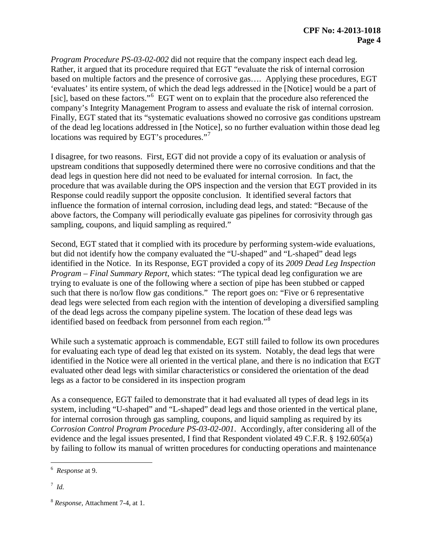*Program Procedure PS-03-02-002* did not require that the company inspect each dead leg. Rather, it argued that its procedure required that EGT "evaluate the risk of internal corrosion based on multiple factors and the presence of corrosive gas…. Applying these procedures, EGT 'evaluates' its entire system, of which the dead legs addressed in the [Notice] would be a part of [sic], based on these factors."<sup>6</sup> EGT went on to explain that the procedure also referenced the company's Integrity Management Program to assess and evaluate the risk of internal corrosion. Finally, EGT stated that its "systematic evaluations showed no corrosive gas conditions upstream of the dead leg locations addressed in [the Notice], so no further evaluation within those dead leg locations was required by EGT's procedures."<sup>7</sup>

I disagree, for two reasons. First, EGT did not provide a copy of its evaluation or analysis of upstream conditions that supposedly determined there were no corrosive conditions and that the dead legs in question here did not need to be evaluated for internal corrosion. In fact, the procedure that was available during the OPS inspection and the version that EGT provided in its Response could readily support the opposite conclusion. It identified several factors that influence the formation of internal corrosion, including dead legs, and stated: "Because of the above factors, the Company will periodically evaluate gas pipelines for corrosivity through gas sampling, coupons, and liquid sampling as required."

Second, EGT stated that it complied with its procedure by performing system-wide evaluations, but did not identify how the company evaluated the "U-shaped" and "L-shaped" dead legs identified in the Notice. In its Response, EGT provided a copy of its *2009 Dead Leg Inspection Program – Final Summary Report*, which states: "The typical dead leg configuration we are trying to evaluate is one of the following where a section of pipe has been stubbed or capped such that there is no/low flow gas conditions." The report goes on: "Five or 6 representative dead legs were selected from each region with the intention of developing a diversified sampling of the dead legs across the company pipeline system. The location of these dead legs was identified based on feedback from personnel from each region."<sup>8</sup>

While such a systematic approach is commendable, EGT still failed to follow its own procedures for evaluating each type of dead leg that existed on its system. Notably, the dead legs that were identified in the Notice were all oriented in the vertical plane, and there is no indication that EGT evaluated other dead legs with similar characteristics or considered the orientation of the dead legs as a factor to be considered in its inspection program

As a consequence, EGT failed to demonstrate that it had evaluated all types of dead legs in its system, including "U-shaped" and "L-shaped" dead legs and those oriented in the vertical plane, for internal corrosion through gas sampling, coupons, and liquid sampling as required by its *Corrosion Control Program Procedure PS-03-02-001*. Accordingly, after considering all of the evidence and the legal issues presented, I find that Respondent violated 49 C.F.R. § 192.605(a) by failing to follow its manual of written procedures for conducting operations and maintenance

 6 *Response* at 9.

<sup>7</sup> *Id.*

<sup>8</sup> *Response,* Attachment 7-4, at 1.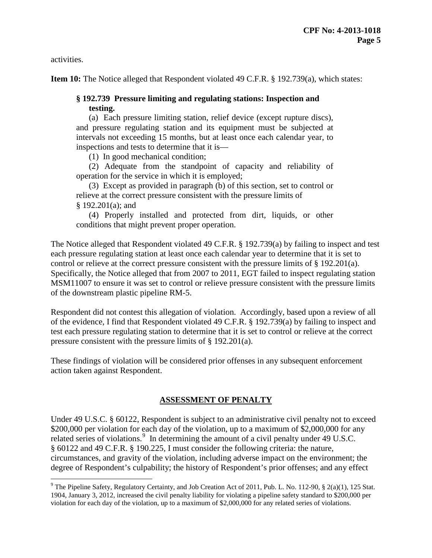activities.

 $\overline{a}$ 

**Item 10:** The Notice alleged that Respondent violated 49 C.F.R. § 192.739(a), which states:

## **§ 192.739 Pressure limiting and regulating stations: Inspection and testing.**

(a) Each pressure limiting station, relief device (except rupture discs), and pressure regulating station and its equipment must be subjected at intervals not exceeding 15 months, but at least once each calendar year, to inspections and tests to determine that it is—

(1) In good mechanical condition;

(2) Adequate from the standpoint of capacity and reliability of operation for the service in which it is employed;

(3) Except as provided in paragraph (b) of this section, set to control or relieve at the correct pressure consistent with the pressure limits of § 192.201(a); and

(4) Properly installed and protected from dirt, liquids, or other conditions that might prevent proper operation.

The Notice alleged that Respondent violated 49 C.F.R. § 192.739(a) by failing to inspect and test each pressure regulating station at least once each calendar year to determine that it is set to control or relieve at the correct pressure consistent with the pressure limits of § 192.201(a). Specifically, the Notice alleged that from 2007 to 2011, EGT failed to inspect regulating station MSM11007 to ensure it was set to control or relieve pressure consistent with the pressure limits of the downstream plastic pipeline RM-5.

Respondent did not contest this allegation of violation. Accordingly, based upon a review of all of the evidence, I find that Respondent violated 49 C.F.R. § 192.739(a) by failing to inspect and test each pressure regulating station to determine that it is set to control or relieve at the correct pressure consistent with the pressure limits of § 192.201(a).

These findings of violation will be considered prior offenses in any subsequent enforcement action taken against Respondent.

### **ASSESSMENT OF PENALTY**

Under 49 U.S.C. § 60122, Respondent is subject to an administrative civil penalty not to exceed \$200,000 per violation for each day of the violation, up to a maximum of \$2,000,000 for any related series of violations.<sup>9</sup> In determining the amount of a civil penalty under 49 U.S.C. § 60122 and 49 C.F.R. § 190.225, I must consider the following criteria: the nature, circumstances, and gravity of the violation, including adverse impact on the environment; the degree of Respondent's culpability; the history of Respondent's prior offenses; and any effect

<sup>&</sup>lt;sup>9</sup> The Pipeline Safety, Regulatory Certainty, and Job Creation Act of 2011, Pub. L. No. 112-90, § 2(a)(1), 125 Stat. 1904, January 3, 2012, increased the civil penalty liability for violating a pipeline safety standard to \$200,000 per violation for each day of the violation, up to a maximum of \$2,000,000 for any related series of violations.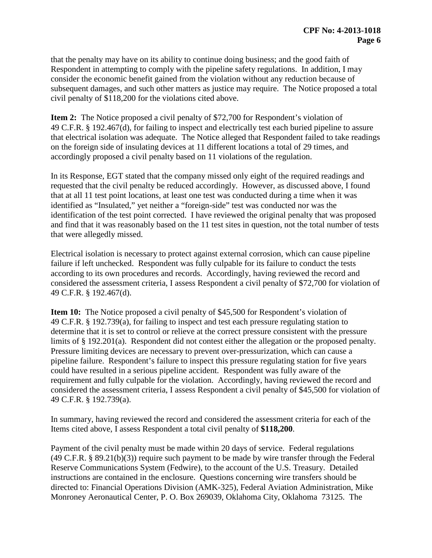that the penalty may have on its ability to continue doing business; and the good faith of Respondent in attempting to comply with the pipeline safety regulations. In addition, I may consider the economic benefit gained from the violation without any reduction because of subsequent damages, and such other matters as justice may require. The Notice proposed a total civil penalty of \$118,200 for the violations cited above.

**Item 2:** The Notice proposed a civil penalty of \$72,700 for Respondent's violation of 49 C.F.R. § 192.467(d), for failing to inspect and electrically test each buried pipeline to assure that electrical isolation was adequate. The Notice alleged that Respondent failed to take readings on the foreign side of insulating devices at 11 different locations a total of 29 times, and accordingly proposed a civil penalty based on 11 violations of the regulation.

In its Response, EGT stated that the company missed only eight of the required readings and requested that the civil penalty be reduced accordingly. However, as discussed above, I found that at all 11 test point locations, at least one test was conducted during a time when it was identified as "Insulated," yet neither a "foreign-side" test was conducted nor was the identification of the test point corrected. I have reviewed the original penalty that was proposed and find that it was reasonably based on the 11 test sites in question, not the total number of tests that were allegedly missed.

Electrical isolation is necessary to protect against external corrosion, which can cause pipeline failure if left unchecked. Respondent was fully culpable for its failure to conduct the tests according to its own procedures and records. Accordingly, having reviewed the record and considered the assessment criteria, I assess Respondent a civil penalty of \$72,700 for violation of 49 C.F.R. § 192.467(d).

**Item 10:** The Notice proposed a civil penalty of \$45,500 for Respondent's violation of 49 C.F.R. § 192.739(a), for failing to inspect and test each pressure regulating station to determine that it is set to control or relieve at the correct pressure consistent with the pressure limits of § 192.201(a). Respondent did not contest either the allegation or the proposed penalty. Pressure limiting devices are necessary to prevent over-pressurization, which can cause a pipeline failure. Respondent's failure to inspect this pressure regulating station for five years could have resulted in a serious pipeline accident. Respondent was fully aware of the requirement and fully culpable for the violation. Accordingly, having reviewed the record and considered the assessment criteria, I assess Respondent a civil penalty of \$45,500 for violation of 49 C.F.R. § 192.739(a).

In summary, having reviewed the record and considered the assessment criteria for each of the Items cited above, I assess Respondent a total civil penalty of **\$118,200**.

Payment of the civil penalty must be made within 20 days of service. Federal regulations (49 C.F.R. § 89.21(b)(3)) require such payment to be made by wire transfer through the Federal Reserve Communications System (Fedwire), to the account of the U.S. Treasury. Detailed instructions are contained in the enclosure. Questions concerning wire transfers should be directed to: Financial Operations Division (AMK-325), Federal Aviation Administration, Mike Monroney Aeronautical Center, P. O. Box 269039, Oklahoma City, Oklahoma 73125. The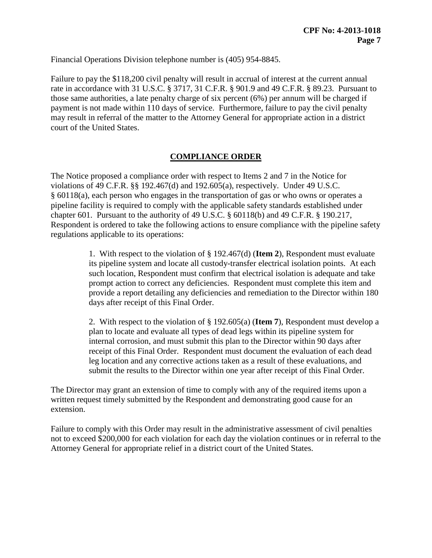Financial Operations Division telephone number is (405) 954-8845.

Failure to pay the \$118,200 civil penalty will result in accrual of interest at the current annual rate in accordance with 31 U.S.C. § 3717, 31 C.F.R. § 901.9 and 49 C.F.R. § 89.23. Pursuant to those same authorities, a late penalty charge of six percent (6%) per annum will be charged if payment is not made within 110 days of service. Furthermore, failure to pay the civil penalty may result in referral of the matter to the Attorney General for appropriate action in a district court of the United States.

# **COMPLIANCE ORDER**

The Notice proposed a compliance order with respect to Items 2 and 7 in the Notice for violations of 49 C.F.R. §§ 192.467(d) and 192.605(a), respectively. Under 49 U.S.C. § 60118(a), each person who engages in the transportation of gas or who owns or operates a pipeline facility is required to comply with the applicable safety standards established under chapter 601. Pursuant to the authority of 49 U.S.C. § 60118(b) and 49 C.F.R. § 190.217, Respondent is ordered to take the following actions to ensure compliance with the pipeline safety regulations applicable to its operations:

> 1. With respect to the violation of § 192.467(d) (**Item 2**), Respondent must evaluate its pipeline system and locate all custody-transfer electrical isolation points. At each such location, Respondent must confirm that electrical isolation is adequate and take prompt action to correct any deficiencies. Respondent must complete this item and provide a report detailing any deficiencies and remediation to the Director within 180 days after receipt of this Final Order.

> 2. With respect to the violation of § 192.605(a) (**Item 7**), Respondent must develop a plan to locate and evaluate all types of dead legs within its pipeline system for internal corrosion, and must submit this plan to the Director within 90 days after receipt of this Final Order. Respondent must document the evaluation of each dead leg location and any corrective actions taken as a result of these evaluations, and submit the results to the Director within one year after receipt of this Final Order.

The Director may grant an extension of time to comply with any of the required items upon a written request timely submitted by the Respondent and demonstrating good cause for an extension.

Failure to comply with this Order may result in the administrative assessment of civil penalties not to exceed \$200,000 for each violation for each day the violation continues or in referral to the Attorney General for appropriate relief in a district court of the United States.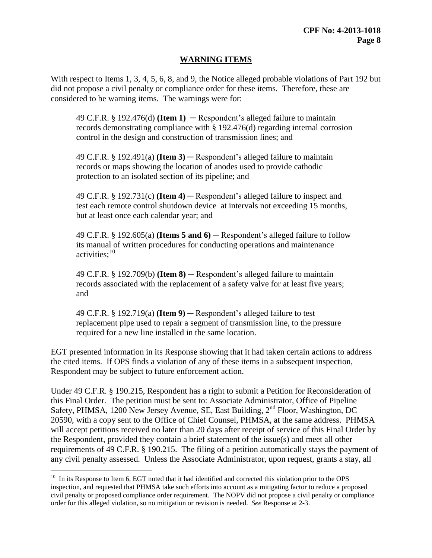## **WARNING ITEMS**

With respect to Items 1, 3, 4, 5, 6, 8, and 9, the Notice alleged probable violations of Part 192 but did not propose a civil penalty or compliance order for these items. Therefore, these are considered to be warning items. The warnings were for:

49 C.F.R.  $\S$  192.476(d) **(Item 1)**  $-$  Respondent's alleged failure to maintain records demonstrating compliance with § 192.476(d) regarding internal corrosion control in the design and construction of transmission lines; and

49 C.F.R. § 192.491(a) **(Item 3)** ─ Respondent's alleged failure to maintain records or maps showing the location of anodes used to provide cathodic protection to an isolated section of its pipeline; and

49 C.F.R. § 192.731(c) **(Item 4)** ─ Respondent's alleged failure to inspect and test each remote control shutdown device at intervals not exceeding 15 months, but at least once each calendar year; and

49 C.F.R. § 192.605(a) **(Items 5 and 6)** ─ Respondent's alleged failure to follow its manual of written procedures for conducting operations and maintenance activities; 10

49 C.F.R. § 192.709(b) **(Item 8)** ─ Respondent's alleged failure to maintain records associated with the replacement of a safety valve for at least five years; and

49 C.F.R. § 192.719(a) **(Item 9)** ─ Respondent's alleged failure to test replacement pipe used to repair a segment of transmission line, to the pressure required for a new line installed in the same location.

EGT presented information in its Response showing that it had taken certain actions to address the cited items. If OPS finds a violation of any of these items in a subsequent inspection, Respondent may be subject to future enforcement action.

Under 49 C.F.R. § 190.215, Respondent has a right to submit a Petition for Reconsideration of this Final Order. The petition must be sent to: Associate Administrator, Office of Pipeline Safety, PHMSA, 1200 New Jersey Avenue, SE, East Building, 2<sup>nd</sup> Floor, Washington, DC 20590, with a copy sent to the Office of Chief Counsel, PHMSA, at the same address. PHMSA will accept petitions received no later than 20 days after receipt of service of this Final Order by the Respondent, provided they contain a brief statement of the issue(s) and meet all other requirements of 49 C.F.R. § 190.215. The filing of a petition automatically stays the payment of any civil penalty assessed. Unless the Associate Administrator, upon request, grants a stay, all

 $\overline{a}$ 

 $10$  In its Response to Item 6, EGT noted that it had identified and corrected this violation prior to the OPS inspection, and requested that PHMSA take such efforts into account as a mitigating factor to reduce a proposed civil penalty or proposed compliance order requirement. The NOPV did not propose a civil penalty or compliance order for this alleged violation, so no mitigation or revision is needed. *See* Response at 2-3.